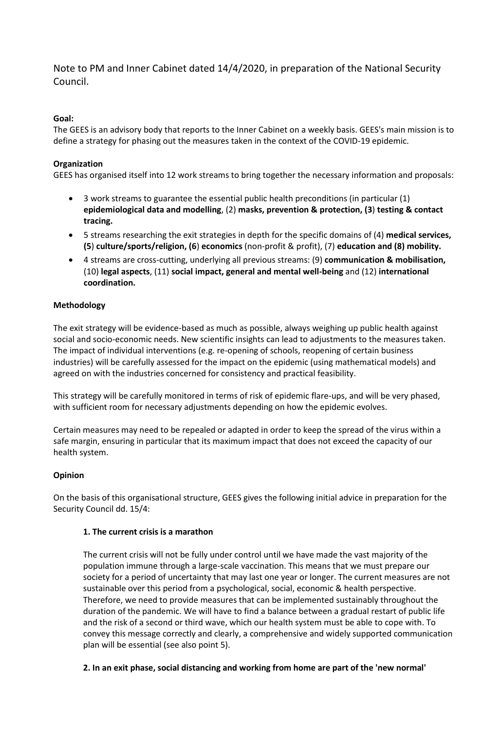Note to PM and Inner Cabinet dated 14/4/2020, in preparation of the National Security Council.

# **Goal:**

The GEES is an advisory body that reports to the Inner Cabinet on a weekly basis. GEES's main mission is to define a strategy for phasing out the measures taken in the context of the COVID-19 epidemic.

# **Organization**

GEES has organised itself into 12 work streams to bring together the necessary information and proposals:

- 3 work streams to guarantee the essential public health preconditions (in particular (1) **epidemiological data and modelling**, (2) **masks, prevention & protection, (3**) **testing & contact tracing.**
- 5 streams researching the exit strategies in depth for the specific domains of (4) **medical services, (5**) **culture/sports/religion, (6**) **economics** (non-profit & profit), (7) **education and (8) mobility.**
- 4 streams are cross-cutting, underlying all previous streams: (9) **communication & mobilisation,** (10) **legal aspects**, (11) **social impact, general and mental well-being** and (12) **international coordination.**

## **Methodology**

The exit strategy will be evidence-based as much as possible, always weighing up public health against social and socio-economic needs. New scientific insights can lead to adjustments to the measures taken. The impact of individual interventions (e.g. re-opening of schools, reopening of certain business industries) will be carefully assessed for the impact on the epidemic (using mathematical models) and agreed on with the industries concerned for consistency and practical feasibility.

This strategy will be carefully monitored in terms of risk of epidemic flare-ups, and will be very phased, with sufficient room for necessary adjustments depending on how the epidemic evolves.

Certain measures may need to be repealed or adapted in order to keep the spread of the virus within a safe margin, ensuring in particular that its maximum impact that does not exceed the capacity of our health system.

## **Opinion**

On the basis of this organisational structure, GEES gives the following initial advice in preparation for the Security Council dd. 15/4:

## **1. The current crisis is a marathon**

The current crisis will not be fully under control until we have made the vast majority of the population immune through a large-scale vaccination. This means that we must prepare our society for a period of uncertainty that may last one year or longer. The current measures are not sustainable over this period from a psychological, social, economic & health perspective. Therefore, we need to provide measures that can be implemented sustainably throughout the duration of the pandemic. We will have to find a balance between a gradual restart of public life and the risk of a second or third wave, which our health system must be able to cope with. To convey this message correctly and clearly, a comprehensive and widely supported communication plan will be essential (see also point 5).

## **2. In an exit phase, social distancing and working from home are part of the 'new normal'**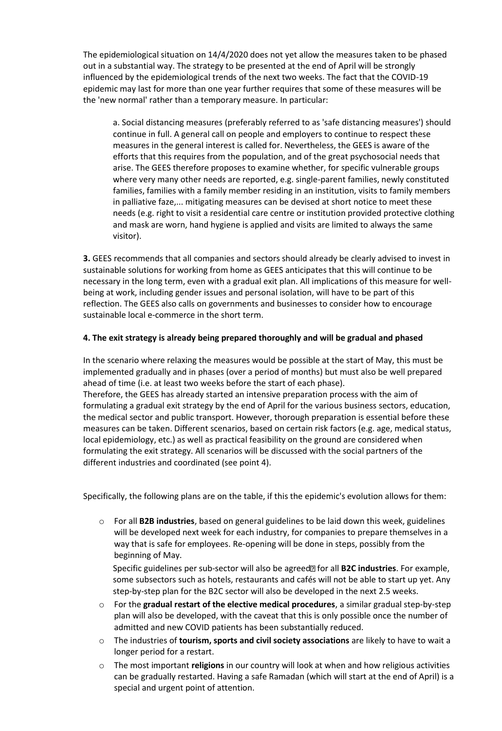The epidemiological situation on 14/4/2020 does not yet allow the measures taken to be phased out in a substantial way. The strategy to be presented at the end of April will be strongly influenced by the epidemiological trends of the next two weeks. The fact that the COVID-19 epidemic may last for more than one year further requires that some of these measures will be the 'new normal' rather than a temporary measure. In particular:

a. Social distancing measures (preferably referred to as 'safe distancing measures') should continue in full. A general call on people and employers to continue to respect these measures in the general interest is called for. Nevertheless, the GEES is aware of the efforts that this requires from the population, and of the great psychosocial needs that arise. The GEES therefore proposes to examine whether, for specific vulnerable groups where very many other needs are reported, e.g. single-parent families, newly constituted families, families with a family member residing in an institution, visits to family members in palliative faze,... mitigating measures can be devised at short notice to meet these needs (e.g. right to visit a residential care centre or institution provided protective clothing and mask are worn, hand hygiene is applied and visits are limited to always the same visitor).

**3.** GEES recommends that all companies and sectors should already be clearly advised to invest in sustainable solutions for working from home as GEES anticipates that this will continue to be necessary in the long term, even with a gradual exit plan. All implications of this measure for wellbeing at work, including gender issues and personal isolation, will have to be part of this reflection. The GEES also calls on governments and businesses to consider how to encourage sustainable local e-commerce in the short term.

### **4. The exit strategy is already being prepared thoroughly and will be gradual and phased**

In the scenario where relaxing the measures would be possible at the start of May, this must be implemented gradually and in phases (over a period of months) but must also be well prepared ahead of time (i.e. at least two weeks before the start of each phase). Therefore, the GEES has already started an intensive preparation process with the aim of formulating a gradual exit strategy by the end of April for the various business sectors, education, the medical sector and public transport. However, thorough preparation is essential before these measures can be taken. Different scenarios, based on certain risk factors (e.g. age, medical status, local epidemiology, etc.) as well as practical feasibility on the ground are considered when formulating the exit strategy. All scenarios will be discussed with the social partners of the different industries and coordinated (see point 4).

Specifically, the following plans are on the table, if this the epidemic's evolution allows for them:

o For all **B2B industries**, based on general guidelines to be laid down this week, guidelines will be developed next week for each industry, for companies to prepare themselves in a way that is safe for employees. Re-opening will be done in steps, possibly from the beginning of May.

Specific guidelines per sub-sector will also be agreed<sup>[2]</sup> for all **B2C industries**. For example, some subsectors such as hotels, restaurants and cafés will not be able to start up yet. Any step-by-step plan for the B2C sector will also be developed in the next 2.5 weeks.

- o For the **gradual restart of the elective medical procedures**, a similar gradual step-by-step plan will also be developed, with the caveat that this is only possible once the number of admitted and new COVID patients has been substantially reduced.
- o The industries of **tourism, sports and civil society associations** are likely to have to wait a longer period for a restart.
- o The most important **religions** in our country will look at when and how religious activities can be gradually restarted. Having a safe Ramadan (which will start at the end of April) is a special and urgent point of attention.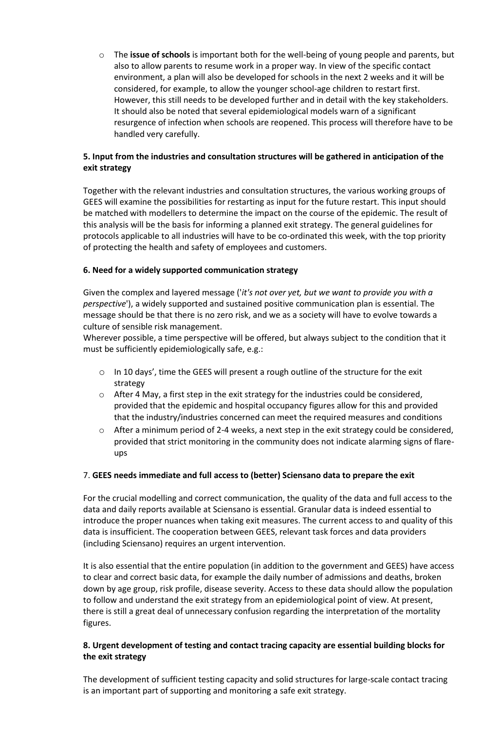o The **issue of schools** is important both for the well-being of young people and parents, but also to allow parents to resume work in a proper way. In view of the specific contact environment, a plan will also be developed for schools in the next 2 weeks and it will be considered, for example, to allow the younger school-age children to restart first. However, this still needs to be developed further and in detail with the key stakeholders. It should also be noted that several epidemiological models warn of a significant resurgence of infection when schools are reopened. This process will therefore have to be handled very carefully.

### **5. Input from the industries and consultation structures will be gathered in anticipation of the exit strategy**

Together with the relevant industries and consultation structures, the various working groups of GEES will examine the possibilities for restarting as input for the future restart. This input should be matched with modellers to determine the impact on the course of the epidemic. The result of this analysis will be the basis for informing a planned exit strategy. The general guidelines for protocols applicable to all industries will have to be co-ordinated this week, with the top priority of protecting the health and safety of employees and customers.

### **6. Need for a widely supported communication strategy**

Given the complex and layered message ('*it's not over yet, but we want to provide you with a perspective*'), a widely supported and sustained positive communication plan is essential. The message should be that there is no zero risk, and we as a society will have to evolve towards a culture of sensible risk management.

Wherever possible, a time perspective will be offered, but always subject to the condition that it must be sufficiently epidemiologically safe, e.g.:

- o In 10 days', time the GEES will present a rough outline of the structure for the exit strategy
- $\circ$  After 4 May, a first step in the exit strategy for the industries could be considered, provided that the epidemic and hospital occupancy figures allow for this and provided that the industry/industries concerned can meet the required measures and conditions
- $\circ$  After a minimum period of 2-4 weeks, a next step in the exit strategy could be considered, provided that strict monitoring in the community does not indicate alarming signs of flareups

#### 7. **GEES needs immediate and full access to (better) Sciensano data to prepare the exit**

For the crucial modelling and correct communication, the quality of the data and full access to the data and daily reports available at Sciensano is essential. Granular data is indeed essential to introduce the proper nuances when taking exit measures. The current access to and quality of this data is insufficient. The cooperation between GEES, relevant task forces and data providers (including Sciensano) requires an urgent intervention.

It is also essential that the entire population (in addition to the government and GEES) have access to clear and correct basic data, for example the daily number of admissions and deaths, broken down by age group, risk profile, disease severity. Access to these data should allow the population to follow and understand the exit strategy from an epidemiological point of view. At present, there is still a great deal of unnecessary confusion regarding the interpretation of the mortality figures.

## **8. Urgent development of testing and contact tracing capacity are essential building blocks for the exit strategy**

The development of sufficient testing capacity and solid structures for large-scale contact tracing is an important part of supporting and monitoring a safe exit strategy.